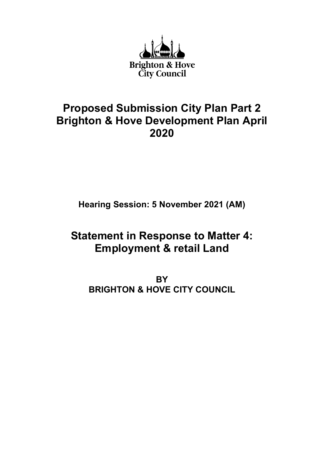

## Proposed Submission City Plan Part 2 Brighton & Hove Development Plan April 2020

Hearing Session: 5 November 2021 (AM)

## Statement in Response to Matter 4: Employment & retail Land

**BY** BRIGHTON & HOVE CITY COUNCIL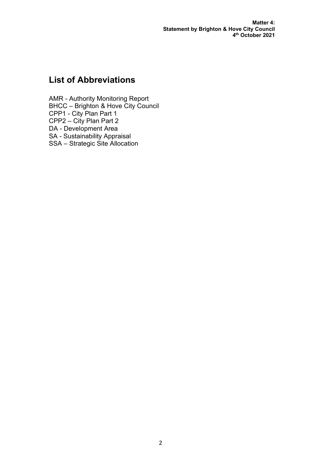Matter 4: Statement by Brighton & Hove City Council 4 th October 2021

## List of Abbreviations

AMR - Authority Monitoring Report BHCC – Brighton & Hove City Council CPP1 - City Plan Part 1 CPP2 – City Plan Part 2 DA - Development Area SA - Sustainability Appraisal SSA – Strategic Site Allocation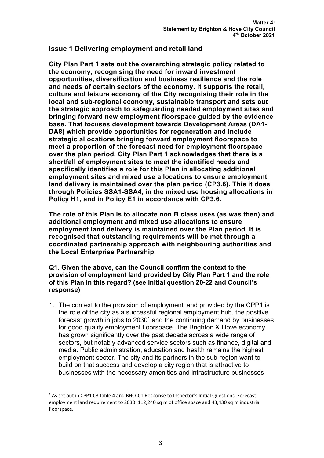## Issue 1 Delivering employment and retail land

City Plan Part 1 sets out the overarching strategic policy related to the economy, recognising the need for inward investment opportunities, diversification and business resilience and the role and needs of certain sectors of the economy. It supports the retail, culture and leisure economy of the City recognising their role in the local and sub-regional economy, sustainable transport and sets out the strategic approach to safeguarding needed employment sites and bringing forward new employment floorspace guided by the evidence base. That focuses development towards Development Areas (DA1- DA8) which provide opportunities for regeneration and include strategic allocations bringing forward employment floorspace to meet a proportion of the forecast need for employment floorspace over the plan period. City Plan Part 1 acknowledges that there is a shortfall of employment sites to meet the identified needs and specifically identifies a role for this Plan in allocating additional employment sites and mixed use allocations to ensure employment land delivery is maintained over the plan period (CP3.6). This it does through Policies SSA1-SSA4, in the mixed use housing allocations in Policy H1, and in Policy E1 in accordance with CP3.6.

The role of this Plan is to allocate non B class uses (as was then) and additional employment and mixed use allocations to ensure employment land delivery is maintained over the Plan period. It is recognised that outstanding requirements will be met through a coordinated partnership approach with neighbouring authorities and the Local Enterprise Partnership.

Q1. Given the above, can the Council confirm the context to the provision of employment land provided by City Plan Part 1 and the role of this Plan in this regard? (see Initial question 20-22 and Council's response)

1. The context to the provision of employment land provided by the CPP1 is the role of the city as a successful regional employment hub, the positive forecast growth in jobs to 2030<sup>1</sup> and the continuing demand by businesses for good quality employment floorspace. The Brighton & Hove economy has grown significantly over the past decade across a wide range of sectors, but notably advanced service sectors such as finance, digital and media. Public administration, education and health remains the highest employment sector. The city and its partners in the sub-region want to build on that success and develop a city region that is attractive to businesses with the necessary amenities and infrastructure businesses

<sup>&</sup>lt;sup>1</sup> As set out in CPP1 C3 table 4 and BHCC01 Response to Inspector's Initial Questions: Forecast employment land requirement to 2030: 112,240 sq m of office space and 43,430 sq m industrial floorspace.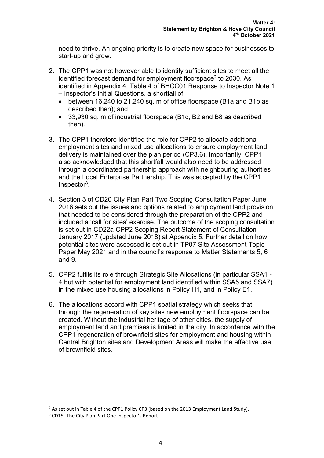need to thrive. An ongoing priority is to create new space for businesses to start-up and grow.

- 2. The CPP1 was not however able to identify sufficient sites to meet all the identified forecast demand for employment floorspace $^2$  to 2030. As identified in Appendix 4, Table 4 of BHCC01 Response to Inspector Note 1 – Inspector's Initial Questions, a shortfall of:
	- between 16,240 to 21,240 sq. m of office floorspace (B1a and B1b as described then); and
	- 33,930 sq. m of industrial floorspace (B1c, B2 and B8 as described then).
- 3. The CPP1 therefore identified the role for CPP2 to allocate additional employment sites and mixed use allocations to ensure employment land delivery is maintained over the plan period (CP3.6). Importantly, CPP1 also acknowledged that this shortfall would also need to be addressed through a coordinated partnership approach with neighbouring authorities and the Local Enterprise Partnership. This was accepted by the CPP1 Inspector<sup>3</sup> .
- 4. Section 3 of CD20 City Plan Part Two Scoping Consultation Paper June 2016 sets out the issues and options related to employment land provision that needed to be considered through the preparation of the CPP2 and included a 'call for sites' exercise. The outcome of the scoping consultation is set out in CD22a CPP2 Scoping Report Statement of Consultation January 2017 (updated June 2018) at Appendix 5. Further detail on how potential sites were assessed is set out in TP07 Site Assessment Topic Paper May 2021 and in the council's response to Matter Statements 5, 6 and 9.
- 5. CPP2 fulfils its role through Strategic Site Allocations (in particular SSA1 4 but with potential for employment land identified within SSA5 and SSA7) in the mixed use housing allocations in Policy H1, and in Policy E1.
- 6. The allocations accord with CPP1 spatial strategy which seeks that through the regeneration of key sites new employment floorspace can be created. Without the industrial heritage of other cities, the supply of employment land and premises is limited in the city. In accordance with the CPP1 regeneration of brownfield sites for employment and housing within Central Brighton sites and Development Areas will make the effective use of brownfield sites.

 $2$  As set out in Table 4 of the CPP1 Policy CP3 (based on the 2013 Employment Land Study).

<sup>&</sup>lt;sup>3</sup> CD15 - The City Plan Part One Inspector's Report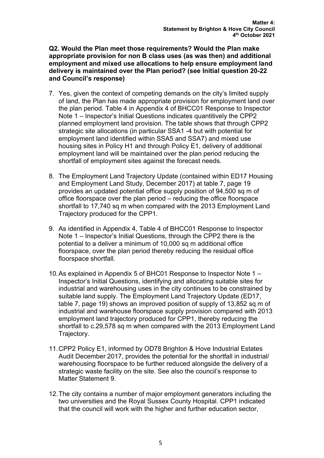Q2. Would the Plan meet those requirements? Would the Plan make appropriate provision for non B class uses (as was then) and additional employment and mixed use allocations to help ensure employment land delivery is maintained over the Plan period? (see Initial question 20-22 and Council's response)

- 7. Yes, given the context of competing demands on the city's limited supply of land, the Plan has made appropriate provision for employment land over the plan period. Table 4 in Appendix 4 of BHCC01 Response to Inspector Note 1 – Inspector's Initial Questions indicates quantitively the CPP2 planned employment land provision. The table shows that through CPP2 strategic site allocations (in particular SSA1 -4 but with potential for employment land identified within SSA5 and SSA7) and mixed use housing sites in Policy H1 and through Policy E1, delivery of additional employment land will be maintained over the plan period reducing the shortfall of employment sites against the forecast needs.
- 8. The Employment Land Trajectory Update (contained within ED17 Housing and Employment Land Study, December 2017) at table 7, page 19 provides an updated potential office supply position of 94,500 sq m of office floorspace over the plan period – reducing the office floorspace shortfall to 17,740 sq m when compared with the 2013 Employment Land Trajectory produced for the CPP1.
- 9. As identified in Appendix 4, Table 4 of BHCC01 Response to Inspector Note 1 – Inspector's Initial Questions, through the CPP2 there is the potential to a deliver a minimum of 10,000 sq m additional office floorspace, over the plan period thereby reducing the residual office floorspace shortfall.
- 10. As explained in Appendix 5 of BHC01 Response to Inspector Note 1 Inspector's Initial Questions, identifying and allocating suitable sites for industrial and warehousing uses in the city continues to be constrained by suitable land supply. The Employment Land Trajectory Update (ED17, table 7, page 19) shows an improved position of supply of 13,852 sq m of industrial and warehouse floorspace supply provision compared with 2013 employment land trajectory produced for CPP1, thereby reducing the shortfall to c.29,578 sq m when compared with the 2013 Employment Land Trajectory.
- 11. CPP2 Policy E1, informed by OD78 Brighton & Hove Industrial Estates Audit December 2017, provides the potential for the shortfall in industrial/ warehousing floorspace to be further reduced alongside the delivery of a strategic waste facility on the site. See also the council's response to Matter Statement 9.
- 12. The city contains a number of major employment generators including the two universities and the Royal Sussex County Hospital. CPP1 indicated that the council will work with the higher and further education sector,